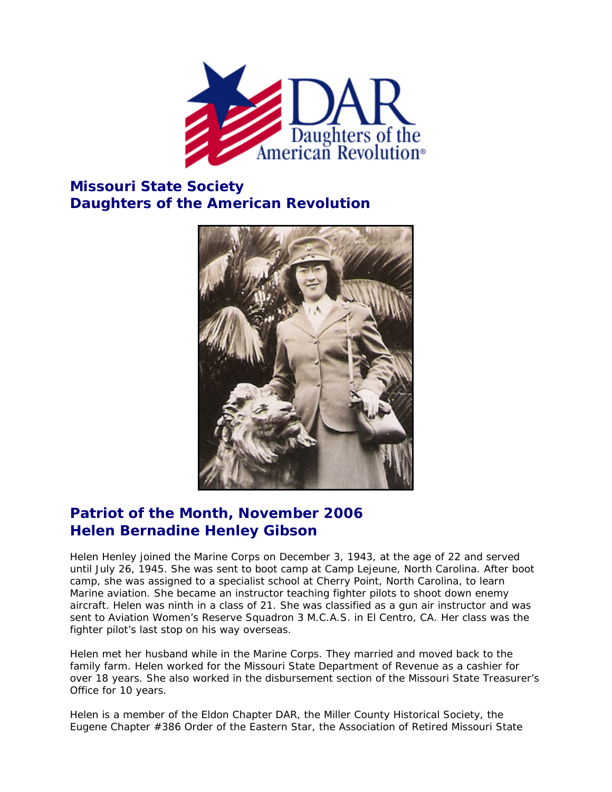

## **Missouri State Society Daughters of the American Revolution**



## **Patriot of the Month, November 2006 Helen Bernadine Henley Gibson**

Helen Henley joined the Marine Corps on December 3, 1943, at the age of 22 and served until July 26, 1945. She was sent to boot camp at Camp Lejeune, North Carolina. After boot camp, she was assigned to a specialist school at Cherry Point, North Carolina, to learn Marine aviation. She became an instructor teaching fighter pilots to shoot down enemy aircraft. Helen was ninth in a class of 21. She was classified as a gun air instructor and was sent to Aviation Women's Reserve Squadron 3 M.C.A.S. in El Centro, CA. Her class was the fighter pilot's last stop on his way overseas.

Helen met her husband while in the Marine Corps. They married and moved back to the family farm. Helen worked for the Missouri State Department of Revenue as a cashier for over 18 years. She also worked in the disbursement section of the Missouri State Treasurer's Office for 10 years.

Helen is a member of the Eldon Chapter DAR, the Miller County Historical Society, the Eugene Chapter #386 Order of the Eastern Star, the Association of Retired Missouri State